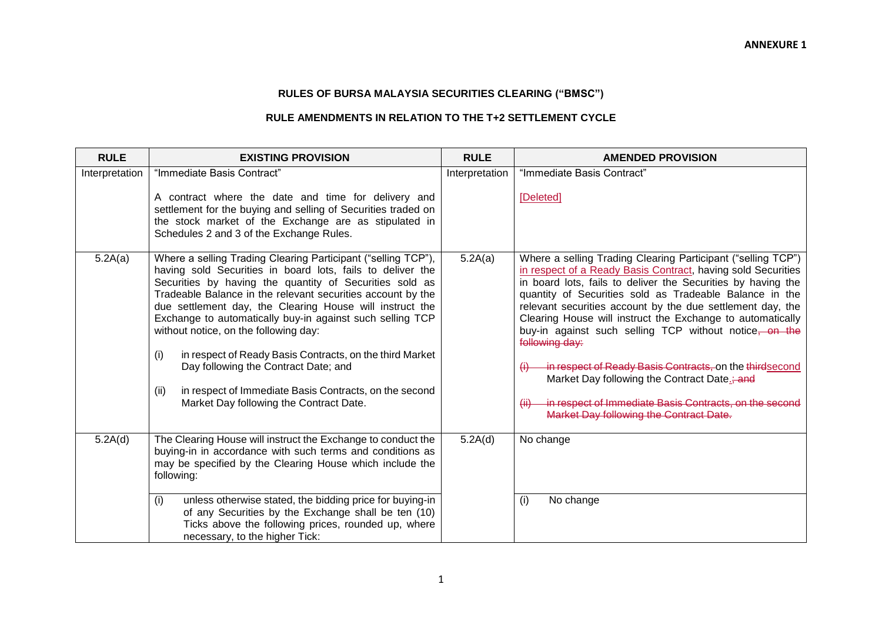## **RULES OF BURSA MALAYSIA SECURITIES CLEARING ("BMSC")**

## **RULE AMENDMENTS IN RELATION TO THE T+2 SETTLEMENT CYCLE**

| <b>RULE</b>    | <b>EXISTING PROVISION</b>                                                                                                                                                                                                                                                                                                                                                                                                                                                                                                                                                                                                                       | <b>RULE</b>    | <b>AMENDED PROVISION</b>                                                                                                                                                                                                                                                                                                                                                                                                                                                                                                                                                                                                                                                                    |
|----------------|-------------------------------------------------------------------------------------------------------------------------------------------------------------------------------------------------------------------------------------------------------------------------------------------------------------------------------------------------------------------------------------------------------------------------------------------------------------------------------------------------------------------------------------------------------------------------------------------------------------------------------------------------|----------------|---------------------------------------------------------------------------------------------------------------------------------------------------------------------------------------------------------------------------------------------------------------------------------------------------------------------------------------------------------------------------------------------------------------------------------------------------------------------------------------------------------------------------------------------------------------------------------------------------------------------------------------------------------------------------------------------|
| Interpretation | "Immediate Basis Contract"<br>A contract where the date and time for delivery and<br>settlement for the buying and selling of Securities traded on<br>the stock market of the Exchange are as stipulated in<br>Schedules 2 and 3 of the Exchange Rules.                                                                                                                                                                                                                                                                                                                                                                                         | Interpretation | "Immediate Basis Contract"<br>[Deleted]                                                                                                                                                                                                                                                                                                                                                                                                                                                                                                                                                                                                                                                     |
| 5.2A(a)        | Where a selling Trading Clearing Participant ("selling TCP"),<br>having sold Securities in board lots, fails to deliver the<br>Securities by having the quantity of Securities sold as<br>Tradeable Balance in the relevant securities account by the<br>due settlement day, the Clearing House will instruct the<br>Exchange to automatically buy-in against such selling TCP<br>without notice, on the following day:<br>(i)<br>in respect of Ready Basis Contracts, on the third Market<br>Day following the Contract Date; and<br>in respect of Immediate Basis Contracts, on the second<br>(ii)<br>Market Day following the Contract Date. | 5.2A(a)        | Where a selling Trading Clearing Participant ("selling TCP")<br>in respect of a Ready Basis Contract, having sold Securities<br>in board lots, fails to deliver the Securities by having the<br>quantity of Securities sold as Tradeable Balance in the<br>relevant securities account by the due settlement day, the<br>Clearing House will instruct the Exchange to automatically<br>buy-in against such selling TCP without notice, on the<br>following day:<br>in respect of Ready Basis Contracts, on the thirdsecond<br>$\theta$<br>Market Day following the Contract Date.; and<br>in respect of Immediate Basis Contracts, on the second<br>Market Day following the Contract Date. |
| 5.2A(d)        | The Clearing House will instruct the Exchange to conduct the<br>buying-in in accordance with such terms and conditions as<br>may be specified by the Clearing House which include the<br>following:<br>(i)<br>unless otherwise stated, the bidding price for buying-in<br>of any Securities by the Exchange shall be ten (10)<br>Ticks above the following prices, rounded up, where<br>necessary, to the higher Tick:                                                                                                                                                                                                                          | 5.2A(d)        | No change<br>(i)<br>No change                                                                                                                                                                                                                                                                                                                                                                                                                                                                                                                                                                                                                                                               |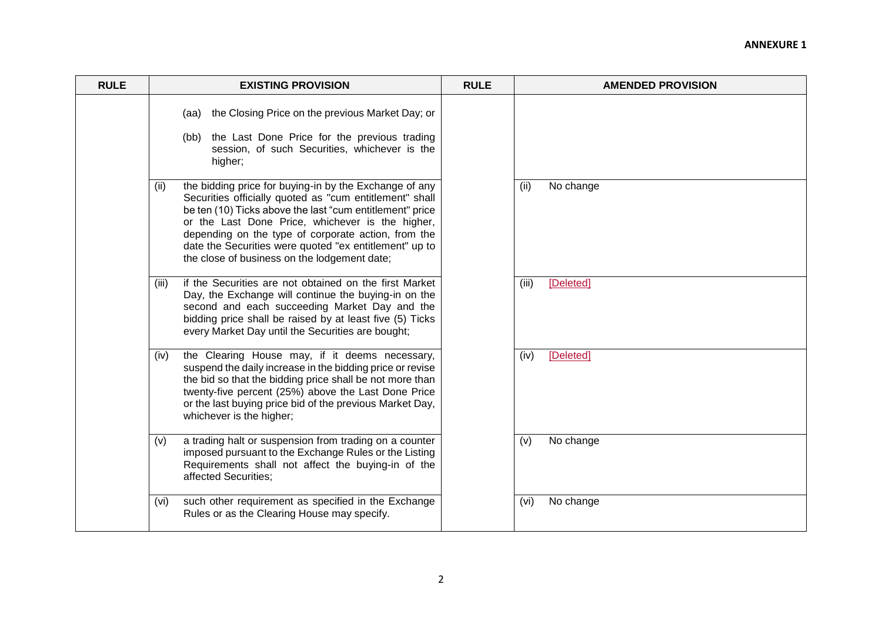| <b>RULE</b> | <b>EXISTING PROVISION</b>                                                                                                                                                                                                                                                                                                                                                                                  | <b>RULE</b> | <b>AMENDED PROVISION</b> |  |
|-------------|------------------------------------------------------------------------------------------------------------------------------------------------------------------------------------------------------------------------------------------------------------------------------------------------------------------------------------------------------------------------------------------------------------|-------------|--------------------------|--|
|             | the Closing Price on the previous Market Day; or<br>(aa)<br>(bb) the Last Done Price for the previous trading<br>session, of such Securities, whichever is the<br>higher;                                                                                                                                                                                                                                  |             |                          |  |
|             | the bidding price for buying-in by the Exchange of any<br>(ii)<br>Securities officially quoted as "cum entitlement" shall<br>be ten (10) Ticks above the last "cum entitlement" price<br>or the Last Done Price, whichever is the higher,<br>depending on the type of corporate action, from the<br>date the Securities were quoted "ex entitlement" up to<br>the close of business on the lodgement date; |             | No change<br>(ii)        |  |
|             | if the Securities are not obtained on the first Market<br>(iii)<br>Day, the Exchange will continue the buying-in on the<br>second and each succeeding Market Day and the<br>bidding price shall be raised by at least five (5) Ticks<br>every Market Day until the Securities are bought;                                                                                                                  |             | [Deleted]<br>(iii)       |  |
|             | the Clearing House may, if it deems necessary,<br>(iv)<br>suspend the daily increase in the bidding price or revise<br>the bid so that the bidding price shall be not more than<br>twenty-five percent (25%) above the Last Done Price<br>or the last buying price bid of the previous Market Day,<br>whichever is the higher;                                                                             |             | [Deleted]<br>(iv)        |  |
|             | a trading halt or suspension from trading on a counter<br>(v)<br>imposed pursuant to the Exchange Rules or the Listing<br>Requirements shall not affect the buying-in of the<br>affected Securities:                                                                                                                                                                                                       |             | No change<br>(v)         |  |
|             | such other requirement as specified in the Exchange<br>(vi)<br>Rules or as the Clearing House may specify.                                                                                                                                                                                                                                                                                                 |             | No change<br>(vi)        |  |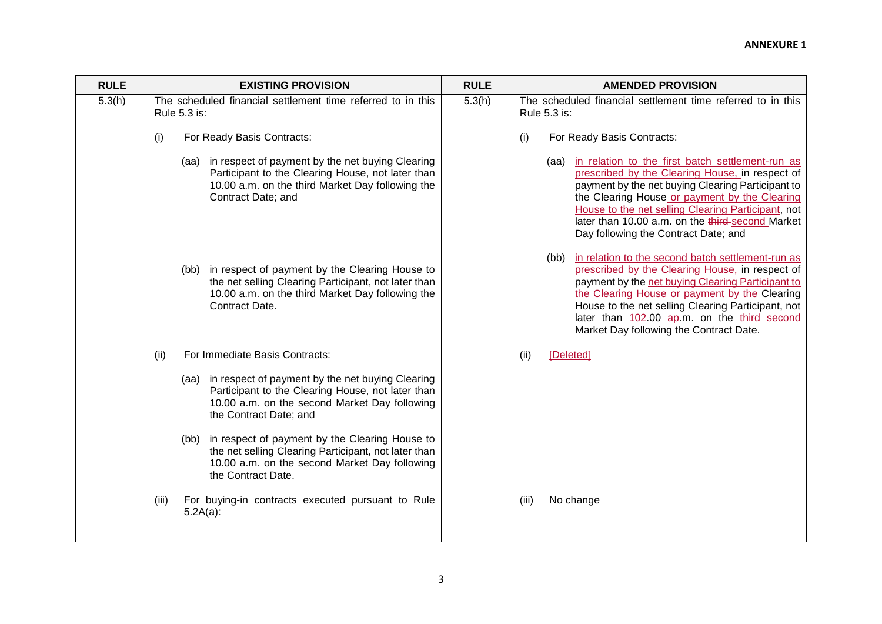| <b>RULE</b> | <b>EXISTING PROVISION</b>                                                                                                                                                             | <b>RULE</b> | <b>AMENDED PROVISION</b>                                                                                                                                                                                                                                                                                                                                         |  |
|-------------|---------------------------------------------------------------------------------------------------------------------------------------------------------------------------------------|-------------|------------------------------------------------------------------------------------------------------------------------------------------------------------------------------------------------------------------------------------------------------------------------------------------------------------------------------------------------------------------|--|
| 5.3(h)      | The scheduled financial settlement time referred to in this<br>Rule 5.3 is:                                                                                                           | 5.3(h)      | The scheduled financial settlement time referred to in this<br>Rule 5.3 is:                                                                                                                                                                                                                                                                                      |  |
|             | (i)<br>For Ready Basis Contracts:                                                                                                                                                     |             | (i)<br>For Ready Basis Contracts:                                                                                                                                                                                                                                                                                                                                |  |
|             | (aa) in respect of payment by the net buying Clearing<br>Participant to the Clearing House, not later than<br>10.00 a.m. on the third Market Day following the<br>Contract Date; and  |             | (aa) in relation to the first batch settlement-run as<br>prescribed by the Clearing House, in respect of<br>payment by the net buying Clearing Participant to<br>the Clearing House or payment by the Clearing<br>House to the net selling Clearing Participant, not<br>later than 10.00 a.m. on the third-second Market<br>Day following the Contract Date; and |  |
|             | (bb) in respect of payment by the Clearing House to<br>the net selling Clearing Participant, not later than<br>10.00 a.m. on the third Market Day following the<br>Contract Date.     |             | (bb) in relation to the second batch settlement-run as<br>prescribed by the Clearing House, in respect of<br>payment by the net buying Clearing Participant to<br>the Clearing House or payment by the Clearing<br>House to the net selling Clearing Participant, not<br>later than 402.00 ap.m. on the third-second<br>Market Day following the Contract Date.  |  |
|             | For Immediate Basis Contracts:<br>(ii)                                                                                                                                                |             | [Deleted]<br>(ii)                                                                                                                                                                                                                                                                                                                                                |  |
|             | (aa) in respect of payment by the net buying Clearing<br>Participant to the Clearing House, not later than<br>10.00 a.m. on the second Market Day following<br>the Contract Date; and |             |                                                                                                                                                                                                                                                                                                                                                                  |  |
|             | (bb) in respect of payment by the Clearing House to<br>the net selling Clearing Participant, not later than<br>10.00 a.m. on the second Market Day following<br>the Contract Date.    |             |                                                                                                                                                                                                                                                                                                                                                                  |  |
|             | For buying-in contracts executed pursuant to Rule<br>(iii)<br>$5.2A(a)$ :                                                                                                             |             | No change<br>(iii)                                                                                                                                                                                                                                                                                                                                               |  |